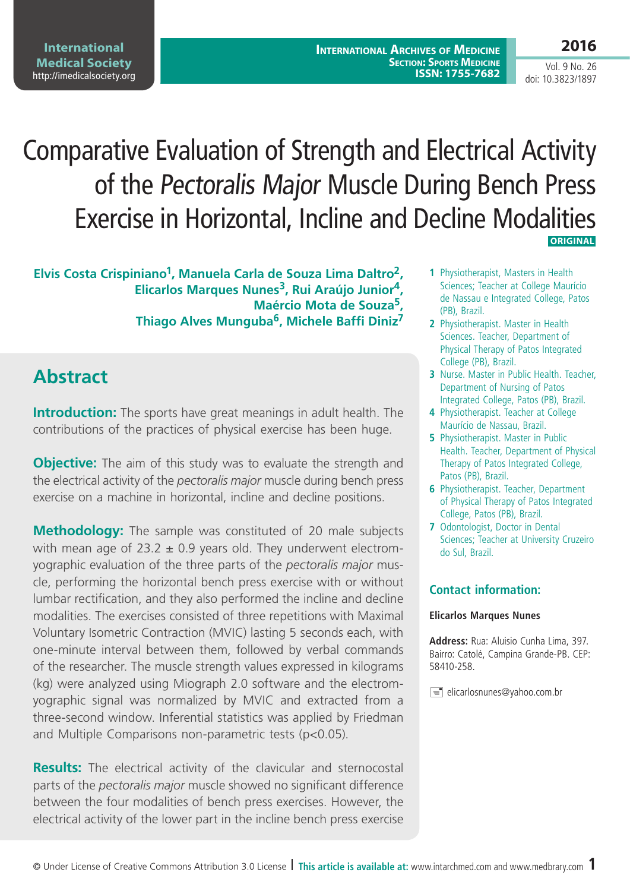**2016**

Vol. 9 No. 26 doi: 10.3823/1897

# Comparative Evaluation of Strength and Electrical Activity of the Pectoralis Major Muscle During Bench Press Exercise in Horizontal, Incline and Decline Modalities  **ORIGINAL**

**Elvis Costa Crispiniano1, Manuela Carla de Souza Lima Daltro2, Elicarlos Marques Nunes3, Rui Araújo Junior4, Maércio Mota de Souza5, Thiago Alves Munguba6, Michele Baffi Diniz7**

# **Abstract**

**Introduction:** The sports have great meanings in adult health. The contributions of the practices of physical exercise has been huge.

**Objective:** The aim of this study was to evaluate the strength and the electrical activity of the *pectoralis major* muscle during bench press exercise on a machine in horizontal, incline and decline positions.

**Methodology:** The sample was constituted of 20 male subjects with mean age of  $23.2 \pm 0.9$  years old. They underwent electromyographic evaluation of the three parts of the *pectoralis major* muscle, performing the horizontal bench press exercise with or without lumbar rectification, and they also performed the incline and decline modalities. The exercises consisted of three repetitions with Maximal Voluntary Isometric Contraction (MVIC) lasting 5 seconds each, with one-minute interval between them, followed by verbal commands of the researcher. The muscle strength values expressed in kilograms (kg) were analyzed using Miograph 2.0 software and the electromyographic signal was normalized by MVIC and extracted from a three-second window. Inferential statistics was applied by Friedman and Multiple Comparisons non-parametric tests (p<0.05).

**Results:** The electrical activity of the clavicular and sternocostal parts of the *pectoralis major* muscle showed no significant difference between the four modalities of bench press exercises. However, the electrical activity of the lower part in the incline bench press exercise

- **1** Physiotherapist, Masters in Health Sciences; Teacher at College Maurício de Nassau e Integrated College, Patos (PB), Brazil.
- **2** Physiotherapist. Master in Health Sciences. Teacher, Department of Physical Therapy of Patos Integrated College (PB), Brazil.
- **3** Nurse. Master in Public Health. Teacher, Department of Nursing of Patos Integrated College, Patos (PB), Brazil.
- **4** Physiotherapist. Teacher at College Maurício de Nassau, Brazil.
- **5** Physiotherapist. Master in Public Health. Teacher, Department of Physical Therapy of Patos Integrated College, Patos (PB), Brazil.
- **6** Physiotherapist. Teacher, Department of Physical Therapy of Patos Integrated College, Patos (PB), Brazil.
- **7** Odontologist, Doctor in Dental Sciences; Teacher at University Cruzeiro do Sul, Brazil.

#### **Contact information:**

#### **Elicarlos Marques Nunes**

**Address:** Rua: Aluisio Cunha Lima, 397. Bairro: Catolé, Campina Grande-PB. CEP: 58410-258.

 $\equiv$  elicarlosnunes@yahoo.com.br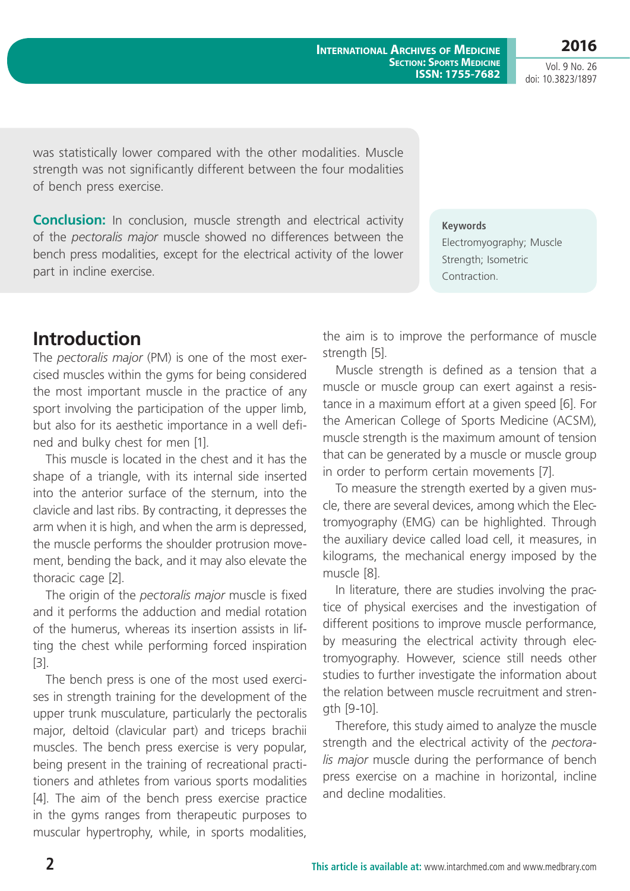Vol. 9 No. 26 doi: 10.3823/1897

was statistically lower compared with the other modalities. Muscle strength was not significantly different between the four modalities of bench press exercise.

**Conclusion:** In conclusion, muscle strength and electrical activity of the *pectoralis major* muscle showed no differences between the bench press modalities, except for the electrical activity of the lower part in incline exercise.

# **Introduction**

The *pectoralis major* (PM) is one of the most exercised muscles within the gyms for being considered the most important muscle in the practice of any sport involving the participation of the upper limb, but also for its aesthetic importance in a well defined and bulky chest for men [1].

This muscle is located in the chest and it has the shape of a triangle, with its internal side inserted into the anterior surface of the sternum, into the clavicle and last ribs. By contracting, it depresses the arm when it is high, and when the arm is depressed, the muscle performs the shoulder protrusion movement, bending the back, and it may also elevate the thoracic cage [2].

The origin of the *pectoralis major* muscle is fixed and it performs the adduction and medial rotation of the humerus, whereas its insertion assists in lifting the chest while performing forced inspiration [3].

The bench press is one of the most used exercises in strength training for the development of the upper trunk musculature, particularly the pectoralis major, deltoid (clavicular part) and triceps brachii muscles. The bench press exercise is very popular, being present in the training of recreational practitioners and athletes from various sports modalities [4]. The aim of the bench press exercise practice in the gyms ranges from therapeutic purposes to muscular hypertrophy, while, in sports modalities, the aim is to improve the performance of muscle strength [5].

Muscle strength is defined as a tension that a muscle or muscle group can exert against a resistance in a maximum effort at a given speed [6]. For the American College of Sports Medicine (ACSM), muscle strength is the maximum amount of tension that can be generated by a muscle or muscle group in order to perform certain movements [7].

To measure the strength exerted by a given muscle, there are several devices, among which the Electromyography (EMG) can be highlighted. Through the auxiliary device called load cell, it measures, in kilograms, the mechanical energy imposed by the muscle [8].

In literature, there are studies involving the practice of physical exercises and the investigation of different positions to improve muscle performance, by measuring the electrical activity through electromyography. However, science still needs other studies to further investigate the information about the relation between muscle recruitment and strength [9-10].

Therefore, this study aimed to analyze the muscle strength and the electrical activity of the *pectoralis major* muscle during the performance of bench press exercise on a machine in horizontal, incline and decline modalities.

#### **Keywords**

Electromyography; Muscle Strength; Isometric Contraction.

**International Archives of Medicine SECTION: SPORTS MEDICINE ISSN: 1755-7682**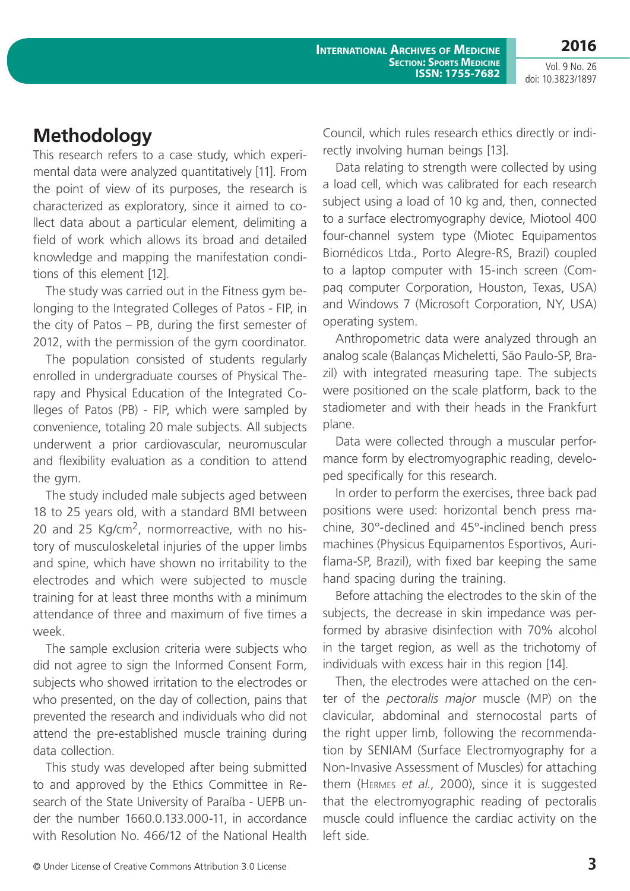**International Archives of Medicine SECTION: SPORTS MEDICINE ISSN: 1755-7682**

Vol. 9 No. 26 doi: 10.3823/1897

**2016**

### **Methodology**

This research refers to a case study, which experimental data were analyzed quantitatively [11]. From the point of view of its purposes, the research is characterized as exploratory, since it aimed to collect data about a particular element, delimiting a field of work which allows its broad and detailed knowledge and mapping the manifestation conditions of this element [12].

The study was carried out in the Fitness gym belonging to the Integrated Colleges of Patos - FIP, in the city of Patos – PB, during the first semester of 2012, with the permission of the gym coordinator.

The population consisted of students regularly enrolled in undergraduate courses of Physical Therapy and Physical Education of the Integrated Colleges of Patos (PB) - FIP, which were sampled by convenience, totaling 20 male subjects. All subjects underwent a prior cardiovascular, neuromuscular and flexibility evaluation as a condition to attend the gym.

The study included male subjects aged between 18 to 25 years old, with a standard BMI between 20 and 25 Kg/cm2, normorreactive, with no history of musculoskeletal injuries of the upper limbs and spine, which have shown no irritability to the electrodes and which were subjected to muscle training for at least three months with a minimum attendance of three and maximum of five times a week.

The sample exclusion criteria were subjects who did not agree to sign the Informed Consent Form, subjects who showed irritation to the electrodes or who presented, on the day of collection, pains that prevented the research and individuals who did not attend the pre-established muscle training during data collection.

This study was developed after being submitted to and approved by the Ethics Committee in Research of the State University of Paraíba - UEPB under the number 1660.0.133.000-11, in accordance with Resolution No. 466/12 of the National Health Council, which rules research ethics directly or indirectly involving human beings [13].

Data relating to strength were collected by using a load cell, which was calibrated for each research subject using a load of 10 kg and, then, connected to a surface electromyography device, Miotool 400 four-channel system type (Miotec Equipamentos Biomédicos Ltda., Porto Alegre-RS, Brazil) coupled to a laptop computer with 15-inch screen (Compaq computer Corporation, Houston, Texas, USA) and Windows 7 (Microsoft Corporation, NY, USA) operating system.

Anthropometric data were analyzed through an analog scale (Balanças Micheletti, São Paulo-SP, Brazil) with integrated measuring tape. The subjects were positioned on the scale platform, back to the stadiometer and with their heads in the Frankfurt plane.

Data were collected through a muscular performance form by electromyographic reading, developed specifically for this research.

In order to perform the exercises, three back pad positions were used: horizontal bench press machine, 30°-declined and 45°-inclined bench press machines (Physicus Equipamentos Esportivos, Auriflama-SP, Brazil), with fixed bar keeping the same hand spacing during the training.

Before attaching the electrodes to the skin of the subjects, the decrease in skin impedance was performed by abrasive disinfection with 70% alcohol in the target region, as well as the trichotomy of individuals with excess hair in this region [14].

Then, the electrodes were attached on the center of the *pectoralis major* muscle (MP) on the clavicular, abdominal and sternocostal parts of the right upper limb, following the recommendation by SENIAM (Surface Electromyography for a Non-Invasive Assessment of Muscles) for attaching them (Hermes *et al.*, 2000), since it is suggested that the electromyographic reading of pectoralis muscle could influence the cardiac activity on the left side.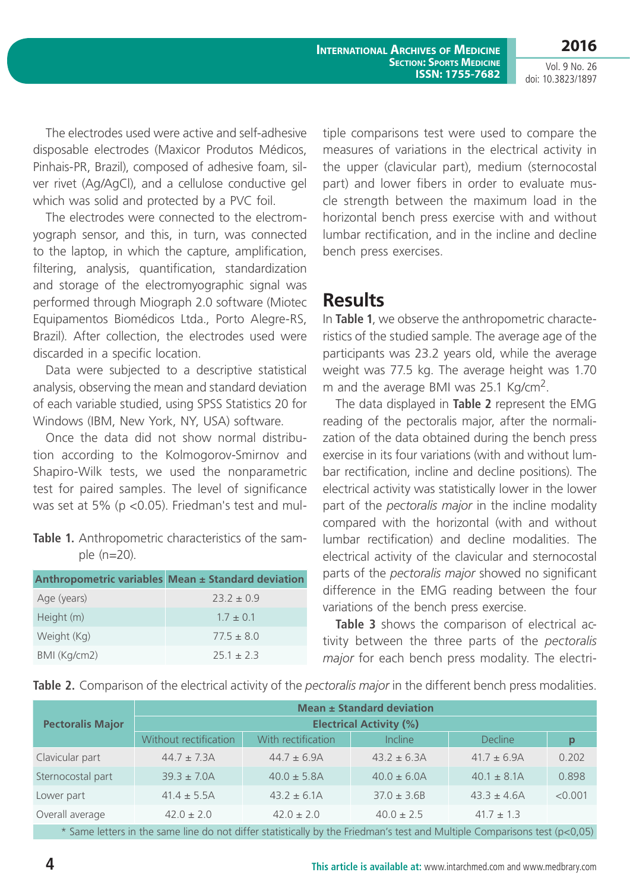**2016** Vol. 9 No. 26

doi: 10.3823/1897

The electrodes used were active and self-adhesive disposable electrodes (Maxicor Produtos Médicos, Pinhais-PR, Brazil), composed of adhesive foam, silver rivet (Ag/AgCl), and a cellulose conductive gel which was solid and protected by a PVC foil.

The electrodes were connected to the electromyograph sensor, and this, in turn, was connected to the laptop, in which the capture, amplification, filtering, analysis, quantification, standardization and storage of the electromyographic signal was performed through Miograph 2.0 software (Miotec Equipamentos Biomédicos Ltda., Porto Alegre-RS, Brazil). After collection, the electrodes used were discarded in a specific location.

Data were subjected to a descriptive statistical analysis, observing the mean and standard deviation of each variable studied, using SPSS Statistics 20 for Windows (IBM, New York, NY, USA) software.

Once the data did not show normal distribution according to the Kolmogorov-Smirnov and Shapiro-Wilk tests, we used the nonparametric test for paired samples. The level of significance was set at 5% (p <0.05). Friedman's test and mul-

#### **Table 1.** Anthropometric characteristics of the sample (n=20).

|              | Anthropometric variables Mean ± Standard deviation |
|--------------|----------------------------------------------------|
| Age (years)  | $73.7 + 0.9$                                       |
| Height (m)   | $1.7 + 0.1$                                        |
| Weight (Kg)  | $77.5 + 8.0$                                       |
| BMI (Kg/cm2) | $75.1 + 7.3$                                       |

tiple comparisons test were used to compare the measures of variations in the electrical activity in the upper (clavicular part), medium (sternocostal part) and lower fibers in order to evaluate muscle strength between the maximum load in the horizontal bench press exercise with and without lumbar rectification, and in the incline and decline bench press exercises.

### **Results**

In **Table 1**, we observe the anthropometric characteristics of the studied sample. The average age of the participants was 23.2 years old, while the average weight was 77.5 kg. The average height was 1.70 m and the average BMI was 25.1 Kg/cm2.

The data displayed in **Table 2** represent the EMG reading of the pectoralis major, after the normalization of the data obtained during the bench press exercise in its four variations (with and without lumbar rectification, incline and decline positions). The electrical activity was statistically lower in the lower part of the *pectoralis major* in the incline modality compared with the horizontal (with and without lumbar rectification) and decline modalities. The electrical activity of the clavicular and sternocostal parts of the *pectoralis major* showed no significant difference in the EMG reading between the four variations of the bench press exercise.

**Table 3** shows the comparison of electrical activity between the three parts of the *pectoralis major* for each bench press modality. The electri-

**Table 2.** Comparison of the electrical activity of the *pectoralis major* in the different bench press modalities.

|                         |                                |                    | Mean ± Standard deviation |                  |         |
|-------------------------|--------------------------------|--------------------|---------------------------|------------------|---------|
| <b>Pectoralis Major</b> | <b>Electrical Activity (%)</b> |                    |                           |                  |         |
|                         | Without rectification          | With rectification | Incline                   | <b>Decline</b>   | p       |
| Clavicular part         | $44.7 \pm 7.3$ A               | $44.7 \pm 6.9$ A   | $43.2 \pm 6.3$ A          | $41.7 \pm 6.9$ A | 0.202   |
| Sternocostal part       | $39.3 \pm 7.0$ A               | $40.0 \pm 5.8$ A   | $40.0 \pm 6.0$ A          | $40.1 \pm 8.1$ A | 0.898   |
| Lower part              | $41.4 \pm 5.5A$                | $43.2 \pm 6.1$ A   | $37.0 \pm 3.6B$           | $43.3 \pm 4.6$ A | < 0.001 |
| Overall average         | $42.0 \pm 2.0$                 | $42.0 \pm 2.0$     | $40.0 \pm 2.5$            | $41.7 \pm 1.3$   |         |

Same letters in the same line do not differ statistically by the Friedman's test and Multiple Comparisons test ( $p<0.05$ )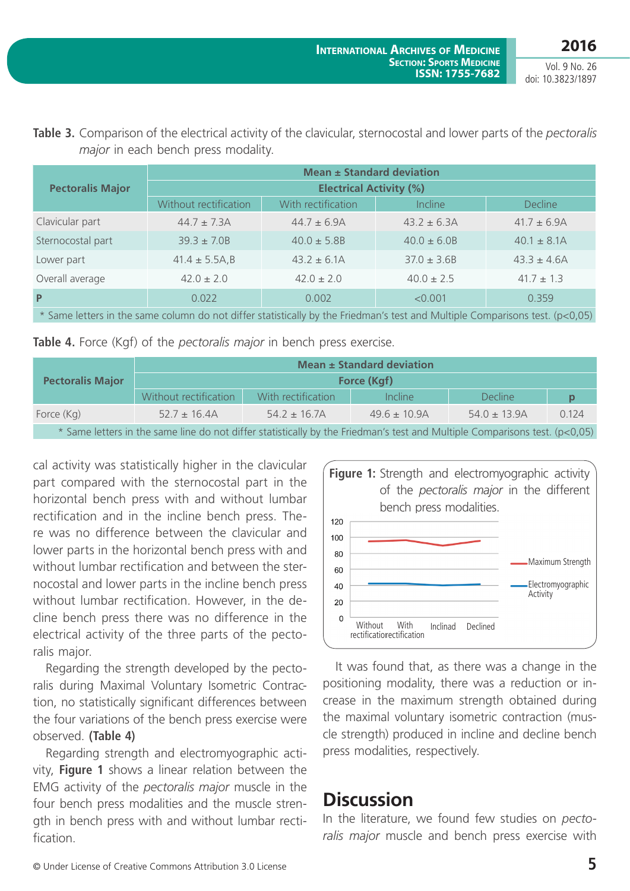**2016** Vol. 9 No. 26

|                                                                                                                                                     | Mean ± Standard deviation      |                    |                  |                  |
|-----------------------------------------------------------------------------------------------------------------------------------------------------|--------------------------------|--------------------|------------------|------------------|
| <b>Pectoralis Major</b>                                                                                                                             | <b>Electrical Activity (%)</b> |                    |                  |                  |
|                                                                                                                                                     | Without rectification          | With rectification | <b>Incline</b>   | <b>Decline</b>   |
| Clavicular part                                                                                                                                     | $44.7 \pm 7.3$ A               | $44.7 \pm 6.9$ A   | $43.2 \pm 6.3$ A | $41.7 \pm 6.9$ A |
| Sternocostal part                                                                                                                                   | $39.3 \pm 7.0B$                | $40.0 \pm 5.8B$    | $40.0 \pm 6.0B$  | $40.1 \pm 8.1$ A |
| Lower part                                                                                                                                          | $41.4 \pm 5.5$ A,B             | $43.2 \pm 6.1$ A   | $37.0 \pm 3.6B$  | $43.3 \pm 4.6$ A |
| Overall average                                                                                                                                     | $42.0 \pm 2.0$                 | $42.0 \pm 2.0$     | $40.0 \pm 2.5$   | $41.7 \pm 1.3$   |
| $\mathsf{P}$                                                                                                                                        | 0.022                          | 0.002              | < 0.001          | 0.359            |
| $\ast$ Court because to the court of the second of different distribution in the Education of the second Multiple Court of the second of the CO OF) |                                |                    |                  |                  |

**Table 3.** Comparison of the electrical activity of the clavicular, sternocostal and lower parts of the *pectoralis major* in each bench press modality.

Same letters in the same column do not differ statistically by the Friedman's test and Multiple Comparisons test. (p<0,05)

| Table 4. Force (Kgf) of the pectoralis major in bench press exercise. |  |
|-----------------------------------------------------------------------|--|
|-----------------------------------------------------------------------|--|

|                                                                                                                            | Mean ± Standard deviation |                    |                   |                   |       |
|----------------------------------------------------------------------------------------------------------------------------|---------------------------|--------------------|-------------------|-------------------|-------|
| <b>Pectoralis Major</b>                                                                                                    | Force (Kgf)               |                    |                   |                   |       |
|                                                                                                                            | Without rectification     | With rectification | Incline           | <b>Decline</b>    | Ŋ     |
| Force (Kg)                                                                                                                 | $52.7 \pm 16.4$ A         | $54.2 \pm 16.7$ A  | $49.6 \pm 10.9$ A | $54.0 \pm 13.9$ A | 0.124 |
| * Same letters in the same line do not differ statistically by the Friedman's test and Multiple Comparisons test. (p<0,05) |                           |                    |                   |                   |       |

cal activity was statistically higher in the clavicular part compared with the sternocostal part in the horizontal bench press with and without lumbar rectification and in the incline bench press. There was no difference between the clavicular and lower parts in the horizontal bench press with and without lumbar rectification and between the sternocostal and lower parts in the incline bench press without lumbar rectification. However, in the decline bench press there was no difference in the electrical activity of the three parts of the pectoralis major.

Regarding the strength developed by the pectoralis during Maximal Voluntary Isometric Contraction, no statistically significant differences between the four variations of the bench press exercise were observed. **(Table 4)**

Regarding strength and electromyographic activity, **Figure 1** shows a linear relation between the EMG activity of the *pectoralis major* muscle in the four bench press modalities and the muscle strength in bench press with and without lumbar rectification.



It was found that, as there was a change in the positioning modality, there was a reduction or increase in the maximum strength obtained during the maximal voluntary isometric contraction (muscle strength) produced in incline and decline bench press modalities, respectively.

## **Discussion**

In the literature, we found few studies on *pectoralis major* muscle and bench press exercise with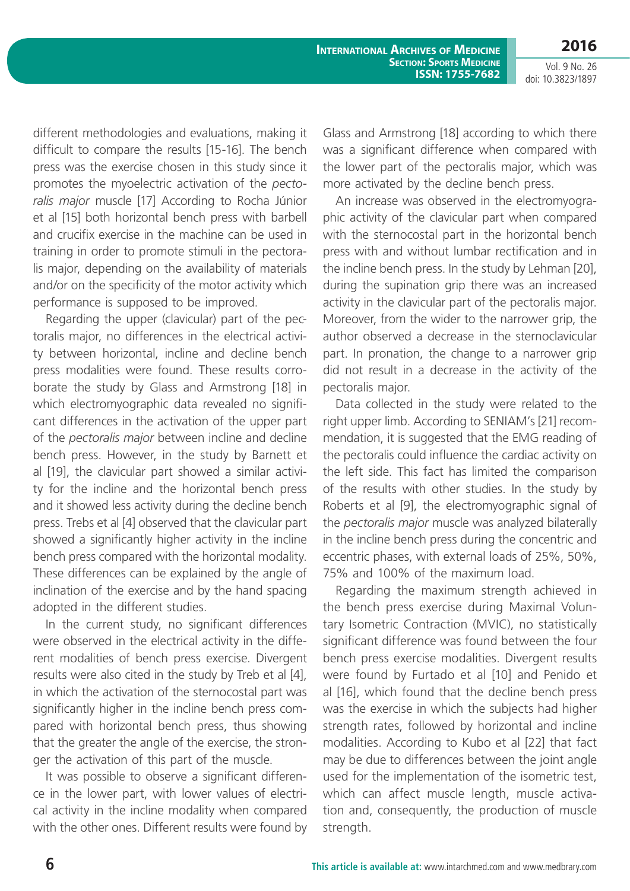**International Archives of Medicine SECTION: SPORTS MEDICINE ISSN: 1755-7682**

**2016** Vol. 9 No. 26

doi: 10.3823/1897

different methodologies and evaluations, making it difficult to compare the results [15-16]. The bench press was the exercise chosen in this study since it promotes the myoelectric activation of the *pectoralis major* muscle [17] According to Rocha Júnior et al [15] both horizontal bench press with barbell and crucifix exercise in the machine can be used in training in order to promote stimuli in the pectoralis major, depending on the availability of materials and/or on the specificity of the motor activity which performance is supposed to be improved.

Regarding the upper (clavicular) part of the pectoralis major, no differences in the electrical activity between horizontal, incline and decline bench press modalities were found. These results corroborate the study by Glass and Armstrong [18] in which electromyographic data revealed no significant differences in the activation of the upper part of the *pectoralis major* between incline and decline bench press. However, in the study by Barnett et al [19], the clavicular part showed a similar activity for the incline and the horizontal bench press and it showed less activity during the decline bench press. Trebs et al [4] observed that the clavicular part showed a significantly higher activity in the incline bench press compared with the horizontal modality. These differences can be explained by the angle of inclination of the exercise and by the hand spacing adopted in the different studies.

In the current study, no significant differences were observed in the electrical activity in the different modalities of bench press exercise. Divergent results were also cited in the study by Treb et al [4], in which the activation of the sternocostal part was significantly higher in the incline bench press compared with horizontal bench press, thus showing that the greater the angle of the exercise, the stronger the activation of this part of the muscle.

It was possible to observe a significant difference in the lower part, with lower values of electrical activity in the incline modality when compared with the other ones. Different results were found by Glass and Armstrong [18] according to which there was a significant difference when compared with the lower part of the pectoralis major, which was more activated by the decline bench press.

An increase was observed in the electromyographic activity of the clavicular part when compared with the sternocostal part in the horizontal bench press with and without lumbar rectification and in the incline bench press. In the study by Lehman [20], during the supination grip there was an increased activity in the clavicular part of the pectoralis major. Moreover, from the wider to the narrower grip, the author observed a decrease in the sternoclavicular part. In pronation, the change to a narrower grip did not result in a decrease in the activity of the pectoralis major.

Data collected in the study were related to the right upper limb. According to SENIAM's [21] recommendation, it is suggested that the EMG reading of the pectoralis could influence the cardiac activity on the left side. This fact has limited the comparison of the results with other studies. In the study by Roberts et al [9], the electromyographic signal of the *pectoralis major* muscle was analyzed bilaterally in the incline bench press during the concentric and eccentric phases, with external loads of 25%, 50%, 75% and 100% of the maximum load.

Regarding the maximum strength achieved in the bench press exercise during Maximal Voluntary Isometric Contraction (MVIC), no statistically significant difference was found between the four bench press exercise modalities. Divergent results were found by Furtado et al [10] and Penido et al [16], which found that the decline bench press was the exercise in which the subjects had higher strength rates, followed by horizontal and incline modalities. According to Kubo et al [22] that fact may be due to differences between the joint angle used for the implementation of the isometric test, which can affect muscle length, muscle activation and, consequently, the production of muscle strength.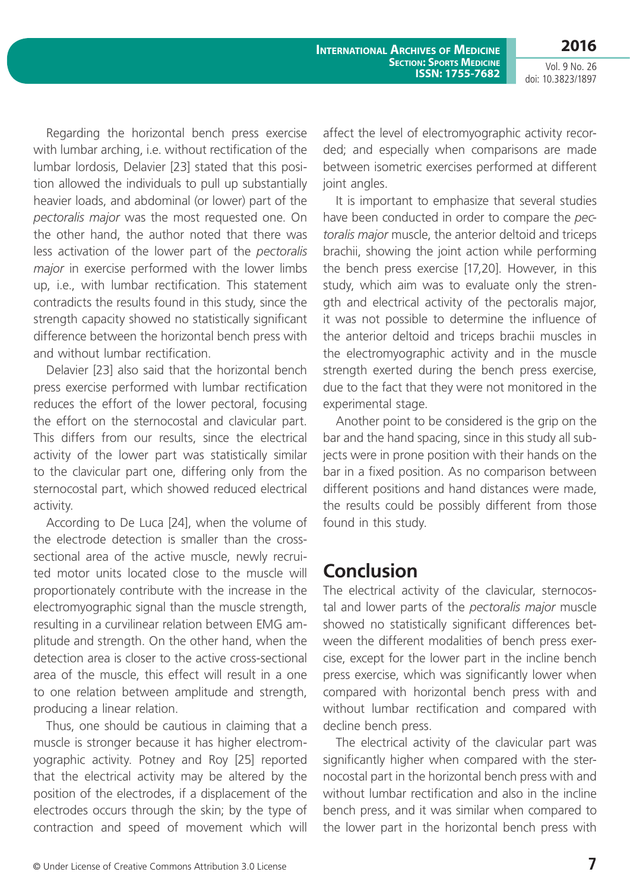**2016** Vol. 9 No. 26

doi: 10.3823/1897

Regarding the horizontal bench press exercise with lumbar arching, i.e. without rectification of the lumbar lordosis, Delavier [23] stated that this position allowed the individuals to pull up substantially heavier loads, and abdominal (or lower) part of the *pectoralis major* was the most requested one. On the other hand, the author noted that there was less activation of the lower part of the *pectoralis major* in exercise performed with the lower limbs up, i.e., with lumbar rectification. This statement contradicts the results found in this study, since the strength capacity showed no statistically significant difference between the horizontal bench press with and without lumbar rectification.

Delavier [23] also said that the horizontal bench press exercise performed with lumbar rectification reduces the effort of the lower pectoral, focusing the effort on the sternocostal and clavicular part. This differs from our results, since the electrical activity of the lower part was statistically similar to the clavicular part one, differing only from the sternocostal part, which showed reduced electrical activity.

According to De Luca [24], when the volume of the electrode detection is smaller than the crosssectional area of the active muscle, newly recruited motor units located close to the muscle will proportionately contribute with the increase in the electromyographic signal than the muscle strength, resulting in a curvilinear relation between EMG amplitude and strength. On the other hand, when the detection area is closer to the active cross-sectional area of the muscle, this effect will result in a one to one relation between amplitude and strength, producing a linear relation.

Thus, one should be cautious in claiming that a muscle is stronger because it has higher electromyographic activity. Potney and Roy [25] reported that the electrical activity may be altered by the position of the electrodes, if a displacement of the electrodes occurs through the skin; by the type of contraction and speed of movement which will affect the level of electromyographic activity recorded; and especially when comparisons are made between isometric exercises performed at different joint angles.

It is important to emphasize that several studies have been conducted in order to compare the *pectoralis major* muscle, the anterior deltoid and triceps brachii, showing the joint action while performing the bench press exercise [17,20]. However, in this study, which aim was to evaluate only the strength and electrical activity of the pectoralis major, it was not possible to determine the influence of the anterior deltoid and triceps brachii muscles in the electromyographic activity and in the muscle strength exerted during the bench press exercise, due to the fact that they were not monitored in the experimental stage.

Another point to be considered is the grip on the bar and the hand spacing, since in this study all subjects were in prone position with their hands on the bar in a fixed position. As no comparison between different positions and hand distances were made, the results could be possibly different from those found in this study.

### **Conclusion**

The electrical activity of the clavicular, sternocostal and lower parts of the *pectoralis major* muscle showed no statistically significant differences between the different modalities of bench press exercise, except for the lower part in the incline bench press exercise, which was significantly lower when compared with horizontal bench press with and without lumbar rectification and compared with decline bench press.

The electrical activity of the clavicular part was significantly higher when compared with the sternocostal part in the horizontal bench press with and without lumbar rectification and also in the incline bench press, and it was similar when compared to the lower part in the horizontal bench press with